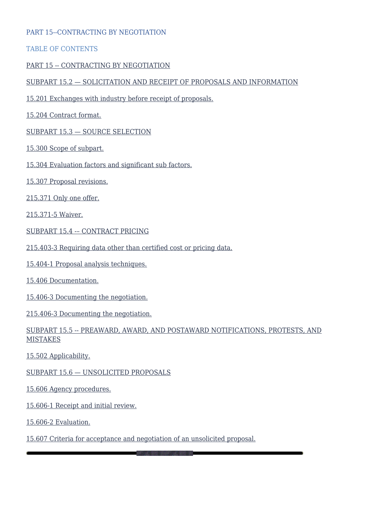#### PART 15--CONTRACTING BY NEGOTIATION

#### TABLE OF CONTENTS

#### [PART 15 -- CONTRACTING BY NEGOTIATION](#page--1-0)

#### [SUBPART 15.2 — SOLICITATION AND RECEIPT OF PROPOSALS AND INFORMATION](#page--1-0)

- [15.201 Exchanges with industry before receipt of proposals.](#page--1-0)
- [15.204 Contract format.](#page--1-0)

#### [SUBPART 15.3 — SOURCE SELECTION](#page--1-0)

- [15.300 Scope of subpart.](#page--1-0)
- [15.304 Evaluation factors and significant sub factors.](#page--1-0)
- [15.307 Proposal revisions.](#page--1-0)
- [215.371 Only one offer.](#page--1-0)

[215.371-5 Waiver.](#page--1-0)

- [SUBPART 15.4 -– CONTRACT PRICING](#page--1-0)
- [215.403-3 Requiring data other than certified cost or pricing data.](#page--1-0)
- [15.404-1 Proposal analysis techniques.](#page--1-0)
- [15.406 Documentation.](#page--1-0)
- [15.406-3 Documenting the negotiation.](#page--1-0)
- [215.406-3 Documenting the negotiation.](#page--1-0)

#### [SUBPART 15.5 -- PREAWARD, AWARD, AND POSTAWARD NOTIFICATIONS, PROTESTS, AND](#page--1-0) [MISTAKES](#page--1-0)

[15.502 Applicability.](#page--1-0)

[SUBPART 15.6 — UNSOLICITED PROPOSALS](#page--1-0)

[15.606 Agency procedures.](#page--1-0)

[15.606-1 Receipt and initial review.](#page--1-0)

[15.606-2 Evaluation.](#page--1-0)

#### [15.607 Criteria for acceptance and negotiation of an unsolicited proposal.](#page--1-0)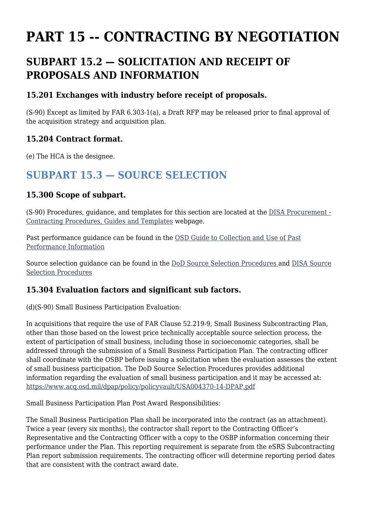# **PART 15 -- CONTRACTING BY NEGOTIATION**

# **SUBPART 15.2 — SOLICITATION AND RECEIPT OF PROPOSALS AND INFORMATION**

#### **15.201 Exchanges with industry before receipt of proposals.**

(S-90) Except as limited by FAR 6.303-1(a), a Draft RFP may be released prior to final approval of the acquisition strategy and acquisition plan.

### **15.204 Contract format.**

(e) The HCA is the designee.

# **SUBPART 15.3 — SOURCE SELECTION**

### **15.300 Scope of subpart.**

(S-90) Procedures, guidance, and templates for this section are located at the [DISA Procurement -](https://www.ditco.disa.mil/DITCOContractingTemplates/Default.asp) [Contracting Procedures, Guides and Templates](https://www.ditco.disa.mil/DITCOContractingTemplates/Default.asp) webpage.

Past performance guidance can be found in the [OSD Guide to Collection and Use of Past](https://www.acq.osd.mil/dpap/Docs/PPI_Guide_2003_final.pdf) [Performance Information](https://www.acq.osd.mil/dpap/Docs/PPI_Guide_2003_final.pdf)

Source selection guidance can be found in the [DoD Source Selection Procedures a](https://www.acq.osd.mil/dpap/policy/policyvault/USA004370-14-DPAP.pdf)nd [DISA Source](https://www.ditco.disa.mil/DITCOContractingTemplates/) [Selection Procedures](https://www.ditco.disa.mil/DITCOContractingTemplates/)

### **15.304 Evaluation factors and significant sub factors.**

(d)(S-90) Small Business Participation Evaluation:

In acquisitions that require the use of FAR Clause 52.219-9, Small Business Subcontracting Plan, other than those based on the lowest price technically acceptable source selection process, the extent of participation of small business, including those in socioeconomic categories, shall be addressed through the submission of a Small Business Participation Plan. The contracting officer shall coordinate with the OSBP before issuing a solicitation when the evaluation assesses the extent of small business participation. The DoD Source Selection Procedures provides additional information regarding the evaluation of small business participation and it may be accessed at: <https://www.acq.osd.mil/dpap/policy/policyvault/USA004370-14-DPAP.pdf>

Small Business Participation Plan Post Award Responsibilities:

The Small Business Participation Plan shall be incorporated into the contract (as an attachment). Twice a year (every six months), the contractor shall report to the Contracting Officer's Representative and the Contracting Officer with a copy to the OSBP information concerning their performance under the Plan. This reporting requirement is separate from the eSRS Subcontracting Plan report submission requirements. The contracting officer will determine reporting period dates that are consistent with the contract award date.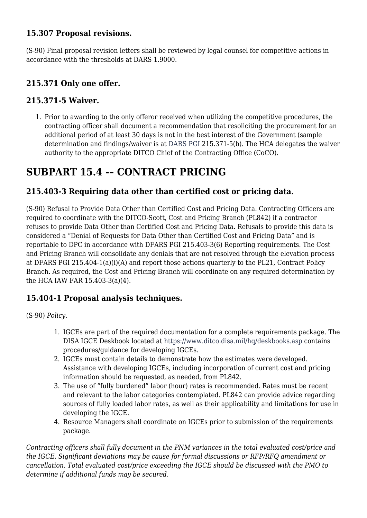### **15.307 Proposal revisions.**

(S-90) Final proposal revision letters shall be reviewed by legal counsel for competitive actions in accordance with the thresholds at DARS 1.9000.

### **215.371 Only one offer.**

#### **215.371-5 Waiver.**

1. Prior to awarding to the only offeror received when utilizing the competitive procedures, the contracting officer shall document a recommendation that resoliciting the procurement for an additional period of at least 30 days is not in the best interest of the Government (sample determination and findings/waiver is at [DARS PGI](https://disa.deps.mil/org/PL2/Pages/DITCORefs.aspx) 215.371-5(b). The HCA delegates the waiver authority to the appropriate DITCO Chief of the Contracting Office (CoCO).

# **SUBPART 15.4 -– CONTRACT PRICING**

### **215.403-3 Requiring data other than certified cost or pricing data.**

(S-90) Refusal to Provide Data Other than Certified Cost and Pricing Data. Contracting Officers are required to coordinate with the DITCO-Scott, Cost and Pricing Branch (PL842) if a contractor refuses to provide Data Other than Certified Cost and Pricing Data. Refusals to provide this data is considered a "Denial of Requests for Data Other than Certified Cost and Pricing Data" and is reportable to DPC in accordance with DFARS PGI 215.403-3(6) Reporting requirements. The Cost and Pricing Branch will consolidate any denials that are not resolved through the elevation process at DFARS PGI 215.404-1(a)(i)(A) and report those actions quarterly to the PL21, Contract Policy Branch. As required, the Cost and Pricing Branch will coordinate on any required determination by the HCA IAW FAR 15.403-3(a)(4).

### **15.404-1 Proposal analysis techniques.**

(S-90) *Policy.*

- 1. IGCEs are part of the required documentation for a complete requirements package. The DISA IGCE Deskbook located at <https://www.ditco.disa.mil/hq/deskbooks.asp> contains procedures/guidance for developing IGCEs.
- 2. IGCEs must contain details to demonstrate how the estimates were developed. Assistance with developing IGCEs, including incorporation of current cost and pricing information should be requested, as needed, from PL842.
- 3. The use of "fully burdened" labor (hour) rates is recommended. Rates must be recent and relevant to the labor categories contemplated. PL842 can provide advice regarding sources of fully loaded labor rates, as well as their applicability and limitations for use in developing the IGCE.
- 4. Resource Managers shall coordinate on IGCEs prior to submission of the requirements package.

*Contracting officers shall fully document in the PNM variances in the total evaluated cost/price and the IGCE. Significant deviations may be cause for formal discussions or RFP/RFQ amendment or cancellation. Total evaluated cost/price exceeding the IGCE should be discussed with the PMO to determine if additional funds may be secured.*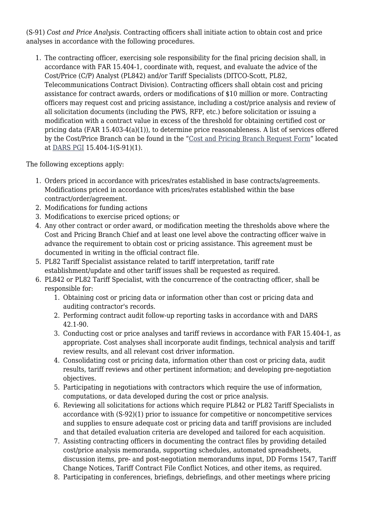(S-91) *Cost and Price Analysis*. Contracting officers shall initiate action to obtain cost and price analyses in accordance with the following procedures.

1. The contracting officer, exercising sole responsibility for the final pricing decision shall, in accordance with FAR 15.404-1, coordinate with, request, and evaluate the advice of the Cost/Price (C/P) Analyst (PL842) and/or Tariff Specialists (DITCO-Scott, PL82, Telecommunications Contract Division). Contracting officers shall obtain cost and pricing assistance for contract awards, orders or modifications of \$10 million or more. Contracting officers may request cost and pricing assistance, including a cost/price analysis and review of all solicitation documents (including the PWS, RFP, etc.) before solicitation or issuing a modification with a contract value in excess of the threshold for obtaining certified cost or pricing data (FAR 15.403-4(a)(1)), to determine price reasonableness. A list of services offered by the Cost/Price Branch can be found in the "[Cost and Pricing Branch Request Form"](https://www.ditco.disa.mil/DITCOContractingTemplates/) located at [DARS PGI](https://disa.deps.mil/org/PL2/Pages/DITCORefs.aspx) 15.404-1(S-91)(1).

The following exceptions apply:

- 1. Orders priced in accordance with prices/rates established in base contracts/agreements. Modifications priced in accordance with prices/rates established within the base contract/order/agreement.
- 2. Modifications for funding actions
- 3. Modifications to exercise priced options; or
- 4. Any other contract or order award, or modification meeting the thresholds above where the Cost and Pricing Branch Chief and at least one level above the contracting officer waive in advance the requirement to obtain cost or pricing assistance. This agreement must be documented in writing in the official contract file.
- 5. PL82 Tariff Specialist assistance related to tariff interpretation, tariff rate establishment/update and other tariff issues shall be requested as required.
- 6. PL842 or PL82 Tariff Specialist, with the concurrence of the contracting officer, shall be responsible for:
	- 1. Obtaining cost or pricing data or information other than cost or pricing data and auditing contractor's records.
	- 2. Performing contract audit follow-up reporting tasks in accordance with and DARS 42.1-90.
	- 3. Conducting cost or price analyses and tariff reviews in accordance with FAR 15.404-1, as appropriate. Cost analyses shall incorporate audit findings, technical analysis and tariff review results, and all relevant cost driver information.
	- 4. Consolidating cost or pricing data, information other than cost or pricing data, audit results, tariff reviews and other pertinent information; and developing pre-negotiation objectives.
	- 5. Participating in negotiations with contractors which require the use of information, computations, or data developed during the cost or price analysis.
	- 6. Reviewing all solicitations for actions which require PL842 or PL82 Tariff Specialists in accordance with (S-92)(1) prior to issuance for competitive or noncompetitive services and supplies to ensure adequate cost or pricing data and tariff provisions are included and that detailed evaluation criteria are developed and tailored for each acquisition.
	- 7. Assisting contracting officers in documenting the contract files by providing detailed cost/price analysis memoranda, supporting schedules, automated spreadsheets, discussion items, pre- and post-negotiation memorandums input, DD Forms 1547, Tariff Change Notices, Tariff Contract File Conflict Notices, and other items, as required.
	- 8. Participating in conferences, briefings, debriefings, and other meetings where pricing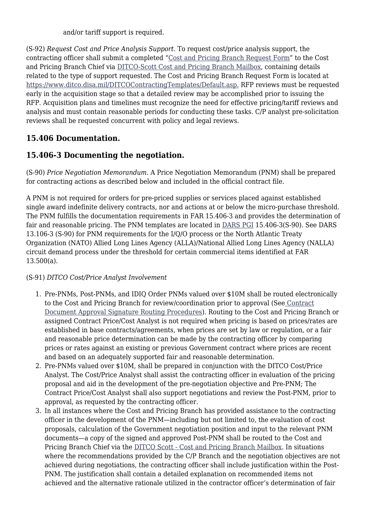and/or tariff support is required.

(S-92) *Request Cost and Price Analysis Support*. To request cost/price analysis support, the contracting officer shall submit a completed ["Cost and Pricing Branch Request Form](https://www.ditco.disa.mil/DITCOContractingTemplates/)" to the Cost and Pricing Branch Chief via [DITCO-Scott Cost and Pricing Branch Mailbox](mailto:disa.scott.ditco.mbx.cost-and-pricing-branch-pl42@mail.mil), containing details related to the type of support requested. The Cost and Pricing Branch Request Form is located at [https://www.ditco.disa.mil/DITCOContractingTemplates/Default.asp.](https://www.ditco.disa.mil/DITCOContractingTemplates/Default.asp) RFP reviews must be requested early in the acquisition stage so that a detailed review may be accomplished prior to issuing the RFP. Acquisition plans and timelines must recognize the need for effective pricing/tariff reviews and analysis and must contain reasonable periods for conducting these tasks. C/P analyst pre-solicitation reviews shall be requested concurrent with policy and legal reviews.

# **15.406 Documentation.**

# **15.406-3 Documenting the negotiation.**

(S-90) *Price Negotiation Memorandum*. A Price Negotiation Memorandum (PNM) shall be prepared for contracting actions as described below and included in the official contract file.

A PNM is not required for orders for pre-priced supplies or services placed against established single award indefinite delivery contracts, nor and actions at or below the micro-purchase threshold. The PNM fulfills the documentation requirements in FAR 15.406-3 and provides the determination of fair and reasonable pricing. The PNM templates are located in [DARS PGI](https://disa.deps.mil/org/PL2/Pages/DITCORefs.aspx) 15.406-3(S-90). See DARS 13.106-3 (S-90) for PNM requirements for the I/Q/O process or the North Atlantic Treaty Organization (NATO) Allied Long Lines Agency (ALLA)/National Allied Long Lines Agency (NALLA) circuit demand process under the threshold for certain commercial items identified at FAR 13.500(a).

#### (S-91) *DITCO Cost/Price Analyst Involvement*

- 1. Pre-PNMs, Post-PNMs, and IDIQ Order PNMs valued over \$10M shall be routed electronically to the Cost and Pricing Branch for review/coordination prior to approval (See [Contract](https://www.ditco.disa.mil/DITCOContractingTemplates/) [Document Approval Signature Routing Procedures\)](https://www.ditco.disa.mil/DITCOContractingTemplates/). Routing to the Cost and Pricing Branch or assigned Contract Price/Cost Analyst is not required when pricing is based on prices/rates are established in base contracts/agreements, when prices are set by law or regulation, or a fair and reasonable price determination can be made by the contracting officer by comparing prices or rates against an existing or previous Government contract where prices are recent and based on an adequately supported fair and reasonable determination.
- 2. Pre-PNMs valued over \$10M, shall be prepared in conjunction with the DITCO Cost/Price Analyst. The Cost/Price Analyst shall assist the contracting officer in evaluation of the pricing proposal and aid in the development of the pre-negotiation objective and Pre-PNM; The Contract Price/Cost Analyst shall also support negotiations and review the Post-PNM, prior to approval, as requested by the contracting officer.
- 3. In all instances where the Cost and Pricing Branch has provided assistance to the contracting officer in the development of the PNM—including but not limited to, the evaluation of cost proposals, calculation of the Government negotiation position and input to the relevant PNM documents—a copy of the signed and approved Post-PNM shall be routed to the Cost and Pricing Branch Chief via the [DITCO Scott - Cost and Pricing Branch Mailbox](mailto:disa.scott.ditco.mbx.cost-and-pricing-branch-pl42@mail.mil). In situations where the recommendations provided by the C/P Branch and the negotiation objectives are not achieved during negotiations, the contracting officer shall include justification within the Post-PNM. The justification shall contain a detailed explanation on recommended items not achieved and the alternative rationale utilized in the contractor officer's determination of fair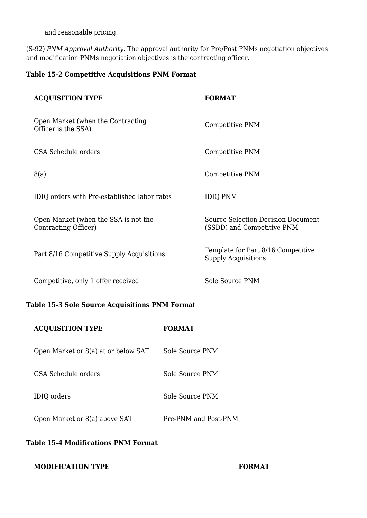and reasonable pricing.

(S-92) *PNM Approval Authority*. The approval authority for Pre/Post PNMs negotiation objectives and modification PNMs negotiation objectives is the contracting officer.

#### **Table 15-2 Competitive Acquisitions PNM Format**

| <b>ACQUISITION TYPE</b>                                      | <b>FORMAT</b>                                                           |
|--------------------------------------------------------------|-------------------------------------------------------------------------|
| Open Market (when the Contracting<br>Officer is the SSA)     | Competitive PNM                                                         |
| <b>GSA Schedule orders</b>                                   | Competitive PNM                                                         |
| 8(a)                                                         | Competitive PNM                                                         |
| IDIQ orders with Pre-established labor rates                 | <b>IDIQ PNM</b>                                                         |
| Open Market (when the SSA is not the<br>Contracting Officer) | <b>Source Selection Decision Document</b><br>(SSDD) and Competitive PNM |
| Part 8/16 Competitive Supply Acquisitions                    | Template for Part 8/16 Competitive<br><b>Supply Acquisitions</b>        |
| Competitive, only 1 offer received                           | Sole Source PNM                                                         |

#### **Table 15-3 Sole Source Acquisitions PNM Format**

| <b>ACQUISITION TYPE</b>             | <b>FORMAT</b>        |
|-------------------------------------|----------------------|
| Open Market or 8(a) at or below SAT | Sole Source PNM      |
| GSA Schedule orders                 | Sole Source PNM      |
| <b>IDIQ</b> orders                  | Sole Source PNM      |
| Open Market or 8(a) above SAT       | Pre-PNM and Post-PNM |
|                                     |                      |

#### **Table 15-4 Modifications PNM Format**

#### **MODIFICATION TYPE FORMAT**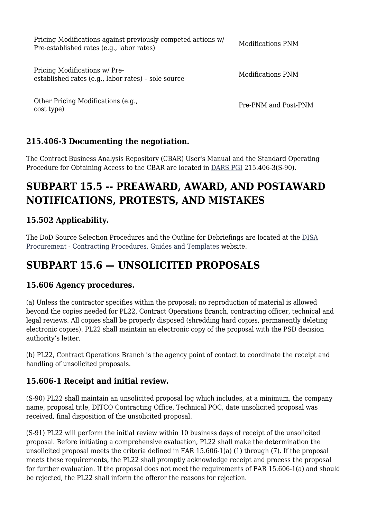| Pricing Modifications against previously competed actions w/<br>Pre-established rates (e.g., labor rates) | Modifications PNM    |
|-----------------------------------------------------------------------------------------------------------|----------------------|
| Pricing Modifications w/ Pre-<br>established rates (e.g., labor rates) - sole source                      | Modifications PNM    |
| Other Pricing Modifications (e.g.,<br>cost type)                                                          | Pre-PNM and Post-PNM |

# **215.406-3 Documenting the negotiation.**

The Contract Business Analysis Repository (CBAR) User's Manual and the Standard Operating Procedure for Obtaining Access to the CBAR are located in [DARS PGI](https://disa.deps.mil/org/PL2/Pages/DITCORefs.aspx) 215.406-3(S-90).

# **SUBPART 15.5 -- PREAWARD, AWARD, AND POSTAWARD NOTIFICATIONS, PROTESTS, AND MISTAKES**

# **15.502 Applicability.**

The DoD Source Selection Procedures and the Outline for Debriefings are located at the [DISA](https://www.ditco.disa.mil/DITCOContractingTemplates/Default.asp) [Procurement - Contracting Procedures, Guides and Templates w](https://www.ditco.disa.mil/DITCOContractingTemplates/Default.asp)ebsite.

# **SUBPART 15.6 — UNSOLICITED PROPOSALS**

### **15.606 Agency procedures.**

(a) Unless the contractor specifies within the proposal; no reproduction of material is allowed beyond the copies needed for PL22, Contract Operations Branch, contracting officer, technical and legal reviews. All copies shall be properly disposed (shredding hard copies, permanently deleting electronic copies). PL22 shall maintain an electronic copy of the proposal with the PSD decision authority's letter.

(b) PL22, Contract Operations Branch is the agency point of contact to coordinate the receipt and handling of unsolicited proposals.

# **15.606-1 Receipt and initial review.**

(S-90) PL22 shall maintain an unsolicited proposal log which includes, at a minimum, the company name, proposal title, DITCO Contracting Office, Technical POC, date unsolicited proposal was received, final disposition of the unsolicited proposal.

(S-91) PL22 will perform the initial review within 10 business days of receipt of the unsolicited proposal. Before initiating a comprehensive evaluation, PL22 shall make the determination the unsolicited proposal meets the criteria defined in FAR 15.606-1(a) (1) through (7). If the proposal meets these requirements, the PL22 shall promptly acknowledge receipt and process the proposal for further evaluation. If the proposal does not meet the requirements of FAR 15.606-1(a) and should be rejected, the PL22 shall inform the offeror the reasons for rejection.